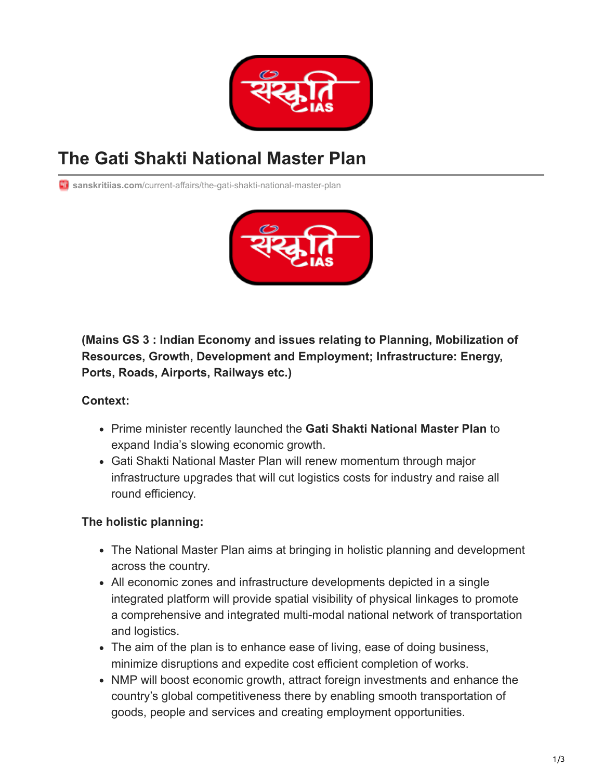

# **The Gati Shakti National Master Plan**

**Ti** sanskritiias.com[/current-affairs/the-gati-shakti-national-master-plan](https://www.sanskritiias.com/current-affairs/the-gati-shakti-national-master-plan)



**(Mains GS 3 : Indian Economy and issues relating to Planning, Mobilization of Resources, Growth, Development and Employment; Infrastructure: Energy, Ports, Roads, Airports, Railways etc.)**

#### **Context:**

- Prime minister recently launched the **Gati Shakti National Master Plan** to expand India's slowing economic growth.
- Gati Shakti National Master Plan will renew momentum through major infrastructure upgrades that will cut logistics costs for industry and raise all round efficiency.

#### **The holistic planning:**

- The National Master Plan aims at bringing in holistic planning and development across the country.
- All economic zones and infrastructure developments depicted in a single integrated platform will provide spatial visibility of physical linkages to promote a comprehensive and integrated multi-modal national network of transportation and logistics.
- The aim of the plan is to enhance ease of living, ease of doing business, minimize disruptions and expedite cost efficient completion of works.
- NMP will boost economic growth, attract foreign investments and enhance the country's global competitiveness there by enabling smooth transportation of goods, people and services and creating employment opportunities.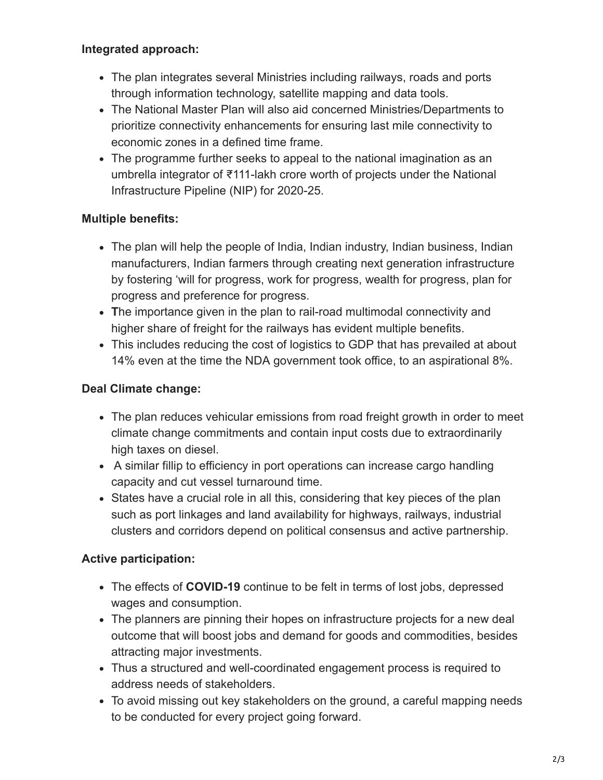### **Integrated approach:**

- The plan integrates several Ministries including railways, roads and ports through information technology, satellite mapping and data tools.
- The National Master Plan will also aid concerned Ministries/Departments to prioritize connectivity enhancements for ensuring last mile connectivity to economic zones in a defined time frame.
- The programme further seeks to appeal to the national imagination as an umbrella integrator of ₹111-lakh crore worth of projects under the National Infrastructure Pipeline (NIP) for 2020-25.

## **Multiple benefits:**

- The plan will help the people of India, Indian industry, Indian business, Indian manufacturers, Indian farmers through creating next generation infrastructure by fostering 'will for progress, work for progress, wealth for progress, plan for progress and preference for progress.
- **T**he importance given in the plan to rail-road multimodal connectivity and higher share of freight for the railways has evident multiple benefits.
- This includes reducing the cost of logistics to GDP that has prevailed at about 14% even at the time the NDA government took office, to an aspirational 8%.

## **Deal Climate change:**

- The plan reduces vehicular emissions from road freight growth in order to meet climate change commitments and contain input costs due to extraordinarily high taxes on diesel.
- A similar fillip to efficiency in port operations can increase cargo handling capacity and cut vessel turnaround time.
- States have a crucial role in all this, considering that key pieces of the plan such as port linkages and land availability for highways, railways, industrial clusters and corridors depend on political consensus and active partnership.

## **Active participation:**

- The effects of **COVID-19** continue to be felt in terms of lost jobs, depressed wages and consumption.
- The planners are pinning their hopes on infrastructure projects for a new deal outcome that will boost jobs and demand for goods and commodities, besides attracting major investments.
- Thus a structured and well-coordinated engagement process is required to address needs of stakeholders.
- To avoid missing out key stakeholders on the ground, a careful mapping needs to be conducted for every project going forward.